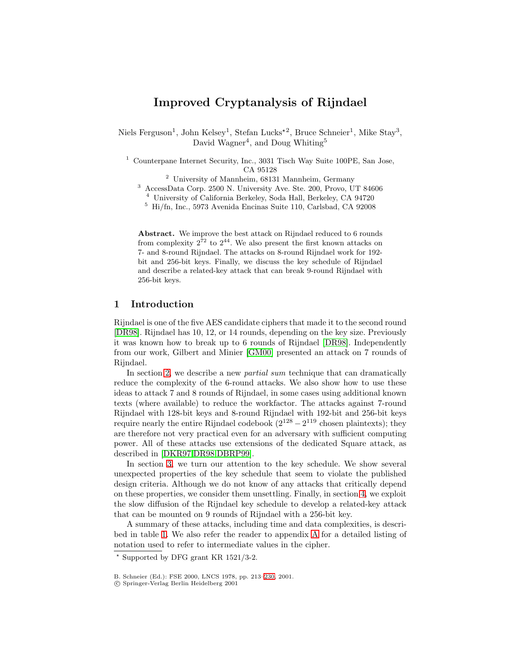# **Improved Cryptanalysis of Rijndael**

Niels Ferguson<sup>1</sup>, John Kelsey<sup>1</sup>, Stefan Lucks<sup>\*2</sup>, Bruce Schneier<sup>1</sup>, Mike Stay<sup>3</sup>, David Wagner<sup>4</sup>, and Doug Whiting<sup>5</sup>

<sup>1</sup> Counterpane Internet Security, Inc., 3031 Tisch Way Suite 100PE, San Jose, CA 95128

- <sup>2</sup> University of Mannheim, 68131 Mannheim, Germany
- <sup>3</sup> AccessData Corp. 2500 N. University Ave. Ste. 200, Provo, UT 84606

<sup>4</sup> University of California Berkeley, Soda Hall, Berkeley, CA 94720

<sup>5</sup> Hi/fn, Inc., 5973 Avenida Encinas Suite 110, Carlsbad, CA 92008

**Abstract.** We improve the best attack on Rijndael reduced to 6 rounds from complexity  $2^{72}$  to  $2^{44}$ . We also present the first known attacks on 7- and 8-round Rijndael. The attacks on 8-round Rijndael work for 192 bit and 256-bit keys. Finally, we discuss the key schedule of Rijndael and describe a related-key attack that can break 9-round Rijndael with 256-bit keys.

# **1 Introduction**

Rijndael is one of the five AES candidate ciphers that made it to the second round [\[DR98\]](#page-15-0). Rijndael has 10, 12, or 14 rounds, depending on the key size. Previously it was known how to break up to 6 rounds of Rijndael [\[DR98\]](#page-15-0). Independently from our work, Gilbert and Minier [\[GM00\]](#page-15-0) presented an attack on 7 rounds of Rijndael.

In section [2,](#page-1-0) we describe a new *partial sum* technique that can dramatically reduce the complexity of the 6-round attacks. We also show how to use these ideas to attack 7 and 8 rounds of Rijndael, in some cases using additional known texts (where available) to reduce the workfactor. The attacks against 7-round Rijndael with 128-bit keys and 8-round Rijndael with 192-bit and 256-bit keys require nearly the entire Rijndael codebook  $(2^{128} - 2^{119})$  chosen plaintexts); they are therefore not very practical even for an adversary with sufficient computing power. All of these attacks use extensions of the dedicated Square attack, as described in [\[DKR97,DR98,DBRP99\]](#page-15-0).

In section [3,](#page-8-0) we turn our attention to the key schedule. We show several unexpected properties of the key schedule that seem to violate the published design criteria. Although we do not know of any attacks that critically depend on these properties, we consider them unsettling. Finally, in section [4,](#page-10-0) we exploit the slow diffusion of the Rijndael key schedule to develop a related-key attack that can be mounted on 9 rounds of Rijndael with a 256-bit key.

A summary of these attacks, including time and data complexities, is described in table [1.](#page-1-0) We also refer the reader to appendix [A](#page-15-0) for a detailed listing of notation used to refer to intermediate values in the cipher.

 $*$  Supported by DFG grant KR 1521/3-2.

B. Schneier (Ed.): FSE 2000, LNCS 1978, pp. 213[–230,](#page-17-0) 2001.

c Springer-Verlag Berlin Heidelberg 2001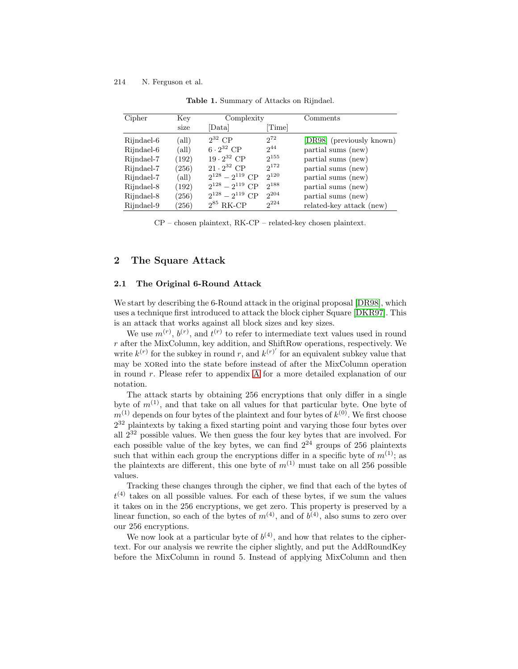<span id="page-1-0"></span>

| Cipher     | Key            | Complexity             |           | Comments                  |
|------------|----------------|------------------------|-----------|---------------------------|
|            | size           | [Data]                 | [Time]    |                           |
| Rijndael-6 | (all)          | $2^{32}$ CP            | $2^{72}$  | [DR98] (previously known) |
| Rijndael-6 | (all)          | $6 \cdot 2^{32}$ CP    | $2^{44}$  | partial sums (new)        |
| Rijndael-7 | (192)          | $19 \cdot 2^{32}$ CP   | $2^{155}$ | partial sums (new)        |
| Rijndael-7 | (256)          | $21 \cdot 2^{32}$ CP   | $2^{172}$ | partial sums (new)        |
| Rijndael-7 | $\text{(all)}$ | $2^{128} - 2^{119}$ CP | $2^{120}$ | partial sums (new)        |
| Rijndael-8 | (192)          | $2^{128} - 2^{119}$ CP | $2^{188}$ | partial sums (new)        |
| Rijndael-8 | (256)          | $2^{128} - 2^{119}$ CP | $2^{204}$ | partial sums (new)        |
| Rijndael-9 | (256)          | $2^{85}$ RK-CP         | $2^{224}$ | related-key attack (new)  |

**Table 1.** Summary of Attacks on Rijndael.

CP – chosen plaintext, RK-CP – related-key chosen plaintext.

# **2 The Square Attack**

## **2.1 The Original 6-Round Attack**

We start by describing the 6-Round attack in the original proposal [\[DR98\]](#page-15-0), which uses a technique first introduced to attack the block cipher Square [\[DKR97\]](#page-15-0). This is an attack that works against all block sizes and key sizes.

We use  $m^{(r)}$ ,  $b^{(r)}$ , and  $t^{(r)}$  to refer to intermediate text values used in round r after the MixColumn, key addition, and ShiftRow operations, respectively. We write  $k^{(r)}$  for the subkey in round r, and  $k^{(r)}$  for an equivalent subkey value that may be xored into the state before instead of after the MixColumn operation in round r. Please refer to appendix [A](#page-15-0) for a more detailed explanation of our notation.

The attack starts by obtaining 256 encryptions that only differ in a single byte of  $m^{(1)}$ , and that take on all values for that particular byte. One byte of  $m^{(1)}$  depends on four bytes of the plaintext and four bytes of  $k^{(0)}$ . We first choose 2<sup>32</sup> plaintexts by taking a fixed starting point and varying those four bytes over all 2<sup>32</sup> possible values. We then guess the four key bytes that are involved. For each possible value of the key bytes, we can find  $2^{24}$  groups of 256 plaintexts such that within each group the encryptions differ in a specific byte of  $m^{(1)}$ ; as the plaintexts are different, this one byte of  $m^{(1)}$  must take on all 256 possible values.

Tracking these changes through the cipher, we find that each of the bytes of  $t^{(4)}$  takes on all possible values. For each of these bytes, if we sum the values it takes on in the 256 encryptions, we get zero. This property is preserved by a linear function, so each of the bytes of  $m^{(4)}$ , and of  $b^{(4)}$ , also sums to zero over our 256 encryptions.

We now look at a particular byte of  $b^{(4)}$ , and how that relates to the ciphertext. For our analysis we rewrite the cipher slightly, and put the AddRoundKey before the MixColumn in round 5. Instead of applying MixColumn and then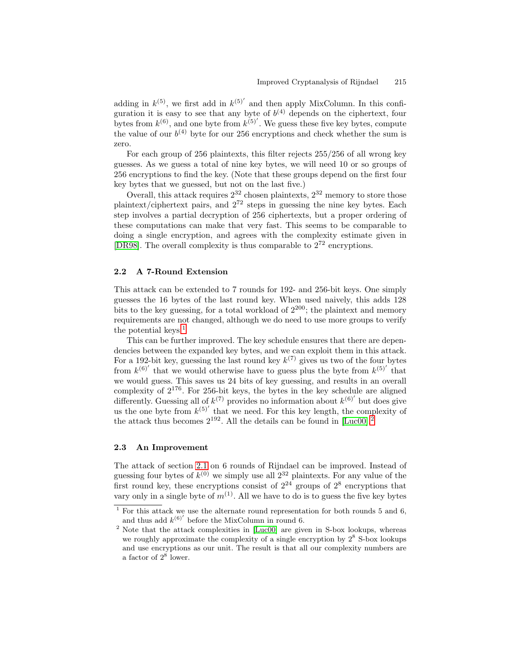<span id="page-2-0"></span>adding in  $k^{(5)}$ , we first add in  $k^{(5)}$  and then apply MixColumn. In this configuration it is easy to see that any byte of  $b^{(4)}$  depends on the ciphertext, four bytes from  $k^{(6)}$ , and one byte from  $k^{(5)}$ . We guess these five key bytes, compute the value of our  $b^{(4)}$  byte for our 256 encryptions and check whether the sum is zero.

For each group of 256 plaintexts, this filter rejects 255/256 of all wrong key guesses. As we guess a total of nine key bytes, we will need 10 or so groups of 256 encryptions to find the key. (Note that these groups depend on the first four key bytes that we guessed, but not on the last five.)

Overall, this attack requires  $2^{32}$  chosen plaintexts,  $2^{32}$  memory to store those plaintext/ciphertext pairs, and  $2^{72}$  steps in guessing the nine key bytes. Each step involves a partial decryption of 256 ciphertexts, but a proper ordering of these computations can make that very fast. This seems to be comparable to doing a single encryption, and agrees with the complexity estimate given in [\[DR98\]](#page-15-0). The overall complexity is thus comparable to 2<sup>72</sup> encryptions.

### **2.2 A 7-Round Extension**

This attack can be extended to 7 rounds for 192- and 256-bit keys. One simply guesses the 16 bytes of the last round key. When used naively, this adds 128 bits to the key guessing, for a total workload of  $2^{200}$ ; the plaintext and memory requirements are not changed, although we do need to use more groups to verify the potential keys. $<sup>1</sup>$ </sup>

This can be further improved. The key schedule ensures that there are dependencies between the expanded key bytes, and we can exploit them in this attack. For a 192-bit key, guessing the last round key  $k^{(7)}$  gives us two of the four bytes from  $k^{(6)}$  that we would otherwise have to guess plus the byte from  $k^{(5)}$  that we would guess. This saves us 24 bits of key guessing, and results in an overall complexity of  $2^{176}$ . For 256-bit keys, the bytes in the key schedule are aligned differently. Guessing all of  $k^{(7)}$  provides no information about  $k^{(6)}$  but does give us the one byte from  $k^{(5)}$  that we need. For this key length, the complexity of the attack thus becomes  $2^{192}$ . All the details can be found in [\[Luc00\]](#page-15-0).<sup>2</sup>

### **2.3 An Improvement**

The attack of section [2.1](#page-1-0) on 6 rounds of Rijndael can be improved. Instead of guessing four bytes of  $k^{(0)}$  we simply use all  $2^{32}$  plaintexts. For any value of the first round key, these encryptions consist of  $2^{24}$  groups of  $2^8$  encryptions that vary only in a single byte of  $m^{(1)}$ . All we have to do is to guess the five key bytes

 $\frac{1}{1}$  For this attack we use the alternate round representation for both rounds 5 and 6, and thus add  $k^{(6)}$  before the MixColumn in round 6.

<sup>2</sup> Note that the attack complexities in [\[Luc00\]](#page-15-0) are given in S-box lookups, whereas we roughly approximate the complexity of a single encryption by  $2^8$  S-box lookups and use encryptions as our unit. The result is that all our complexity numbers are a factor of  $2^8$  lower.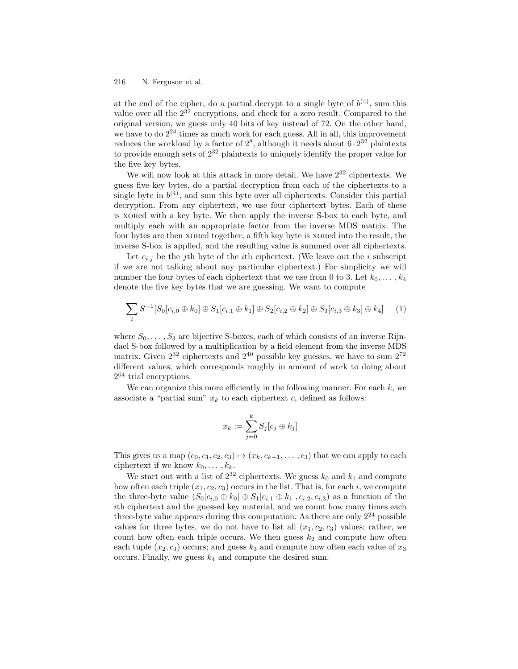<span id="page-3-0"></span>at the end of the cipher, do a partial decrypt to a single byte of  $b^{(4)}$ , sum this value over all the  $2^{32}$  encryptions, and check for a zero result. Compared to the original version, we guess only 40 bits of key instead of 72. On the other hand, we have to do  $2^{24}$  times as much work for each guess. All in all, this improvement reduces the workload by a factor of  $2^8$ , although it needs about  $6 \cdot 2^{32}$  plaintexts to provide enough sets of  $2^{32}$  plaintexts to uniquely identify the proper value for the five key bytes.

We will now look at this attack in more detail. We have  $2^{32}$  ciphertexts. We guess five key bytes, do a partial decryption from each of the ciphertexts to a single byte in  $b^{(4)}$ , and sum this byte over all ciphertexts. Consider this partial decryption. From any ciphertext, we use four ciphertext bytes. Each of these is xored with a key byte. We then apply the inverse S-box to each byte, and multiply each with an appropriate factor from the inverse MDS matrix. The four bytes are then xored together, a fifth key byte is xored into the result, the inverse S-box is applied, and the resulting value is summed over all ciphertexts.

Let  $c_{i,j}$  be the j<sup>th</sup> byte of the *i*th ciphertext. (We leave out the *i* subscript if we are not talking about any particular ciphertext.) For simplicity we will number the four bytes of each ciphertext that we use from 0 to 3. Let  $k_0, \ldots, k_4$ denote the five key bytes that we are guessing. We want to compute

$$
\sum_{i} S^{-1}[S_0[c_{i,0} \oplus k_0] \oplus S_1[c_{i,1} \oplus k_1] \oplus S_2[c_{i,2} \oplus k_2] \oplus S_3[c_{i,3} \oplus k_3] \oplus k_4]
$$
 (1)

where  $S_0, \ldots, S_3$  are bijective S-boxes, each of which consists of an inverse Rijndael S-box followed by a multiplication by a field element from the inverse MDS matrix. Given  $2^{32}$  ciphertexts and  $2^{40}$  possible key guesses, we have to sum  $2^{72}$ different values, which corresponds roughly in amount of work to doing about  $2^{64}$  trial encryptions.

We can organize this more efficiently in the following manner. For each  $k$ , we associate a "partial sum"  $x_k$  to each ciphertext c, defined as follows:

$$
x_k := \sum_{j=0}^k S_j[c_j \oplus k_j]
$$

This gives us a map  $(c_0, c_1, c_2, c_3) \mapsto (x_k, c_{k+1}, \ldots, c_3)$  that we can apply to each ciphertext if we know  $k_0, \ldots, k_k$ .

We start out with a list of  $2^{32}$  ciphertexts. We guess  $k_0$  and  $k_1$  and compute how often each triple  $(x_1, c_2, c_3)$  occurs in the list. That is, for each i, we compute the three-byte value  $(S_0[c_{i,0} \oplus k_0] \oplus S_1[c_{i,1} \oplus k_1], c_{i,2}, c_{i,3})$  as a function of the ith ciphertext and the guessed key material, and we count how many times each three-byte value appears during this computation. As there are only  $2^{24}$  possible values for three bytes, we do not have to list all  $(x_1, c_2, c_3)$  values; rather, we count how often each triple occurs. We then guess  $k_2$  and compute how often each tuple  $(x_2, c_3)$  occurs; and guess  $k_3$  and compute how often each value of  $x_3$ occurs. Finally, we guess  $k_4$  and compute the desired sum.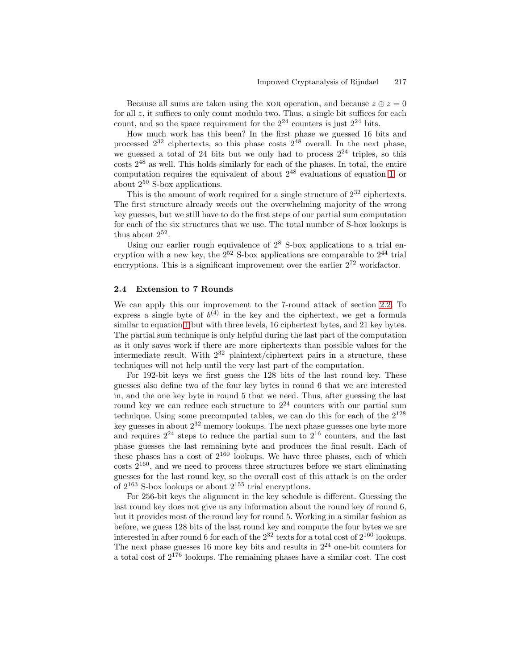<span id="page-4-0"></span>Because all sums are taken using the XOR operation, and because  $z \oplus z = 0$ for all z, it suffices to only count modulo two. Thus, a single bit suffices for each count, and so the space requirement for the  $2^{24}$  counters is just  $2^{24}$  bits.

How much work has this been? In the first phase we guessed 16 bits and processed  $2^{32}$  ciphertexts, so this phase costs  $2^{48}$  overall. In the next phase, we guessed a total of 24 bits but we only had to process  $2^{24}$  triples, so this  $\cos$ ts  $2^{48}$  as well. This holds similarly for each of the phases. In total, the entire computation requires the equivalent of about  $2^{48}$  evaluations of equation [1,](#page-3-0) or about  $2^{50}$  S-box applications.

This is the amount of work required for a single structure of  $2^{32}$  ciphertexts. The first structure already weeds out the overwhelming majority of the wrong key guesses, but we still have to do the first steps of our partial sum computation for each of the six structures that we use. The total number of S-box lookups is thus about  $2^{52}$ .

Using our earlier rough equivalence of  $2^8$  S-box applications to a trial encryption with a new key, the  $2^{52}$  S-box applications are comparable to  $2^{44}$  trial encryptions. This is a significant improvement over the earlier  $2^{72}$  workfactor.

### **2.4 Extension to 7 Rounds**

We can apply this our improvement to the 7-round attack of section [2.2.](#page-2-0) To express a single byte of  $b^{(4)}$  in the key and the ciphertext, we get a formula similar to equation [1](#page-3-0) but with three levels, 16 ciphertext bytes, and 21 key bytes. The partial sum technique is only helpful during the last part of the computation as it only saves work if there are more ciphertexts than possible values for the intermediate result. With  $2^{32}$  plaintext/ciphertext pairs in a structure, these techniques will not help until the very last part of the computation.

For 192-bit keys we first guess the 128 bits of the last round key. These guesses also define two of the four key bytes in round 6 that we are interested in, and the one key byte in round 5 that we need. Thus, after guessing the last round key we can reduce each structure to  $2^{24}$  counters with our partial sum technique. Using some precomputed tables, we can do this for each of the  $2^{128}$ key guesses in about 2<sup>32</sup> memory lookups. The next phase guesses one byte more and requires  $2^{24}$  steps to reduce the partial sum to  $2^{16}$  counters, and the last phase guesses the last remaining byte and produces the final result. Each of these phases has a cost of  $2^{160}$  lookups. We have three phases, each of which  $\cos\left(3\right)$  costs 2<sup>160</sup>, and we need to process three structures before we start eliminating guesses for the last round key, so the overall cost of this attack is on the order of  $2^{163}$  S-box lookups or about  $2^{155}$  trial encryptions.

For 256-bit keys the alignment in the key schedule is different. Guessing the last round key does not give us any information about the round key of round 6, but it provides most of the round key for round 5. Working in a similar fashion as before, we guess 128 bits of the last round key and compute the four bytes we are interested in after round 6 for each of the  $2^{32}$  texts for a total cost of  $2^{160}$  lookups. The next phase guesses 16 more key bits and results in 2<sup>24</sup> one-bit counters for a total cost of 2<sup>176</sup> lookups. The remaining phases have a similar cost. The cost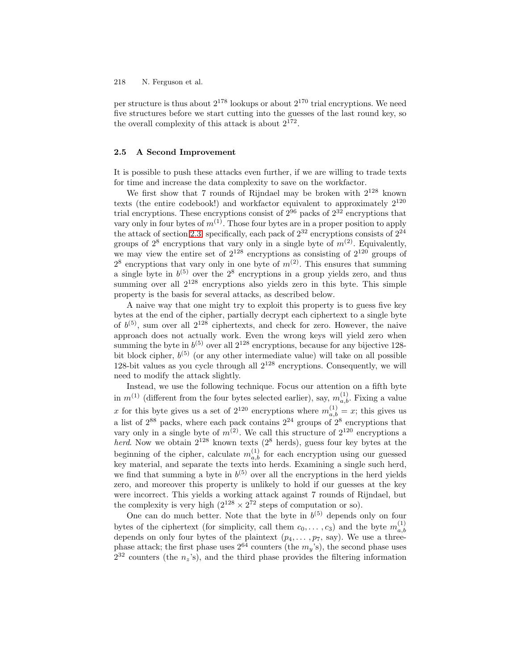per structure is thus about  $2^{178}$  lookups or about  $2^{170}$  trial encryptions. We need five structures before we start cutting into the guesses of the last round key, so the overall complexity of this attack is about  $2^{172}$ .

# **2.5 A Second Improvement**

It is possible to push these attacks even further, if we are willing to trade texts for time and increase the data complexity to save on the workfactor.

We first show that 7 rounds of Rijndael may be broken with  $2^{128}$  known texts (the entire codebook!) and workfactor equivalent to approximately  $2^{120}$ trial encryptions. These encryptions consist of  $2^{96}$  packs of  $2^{32}$  encryptions that vary only in four bytes of  $m^{(1)}$ . Those four bytes are in a proper position to apply the attack of section [2.3:](#page-2-0) specifically, each pack of  $2^{32}$  encryptions consists of  $2^{24}$ groups of  $2^8$  encryptions that vary only in a single byte of  $m^{(2)}$ . Equivalently, we may view the entire set of  $2^{128}$  encryptions as consisting of  $2^{120}$  groups of  $2^8$  encryptions that vary only in one byte of  $m^{(2)}$ . This ensures that summing a single byte in  $b^{(5)}$  over the  $2^8$  encryptions in a group yields zero, and thus summing over all  $2^{128}$  encryptions also yields zero in this byte. This simple property is the basis for several attacks, as described below.

A naive way that one might try to exploit this property is to guess five key bytes at the end of the cipher, partially decrypt each ciphertext to a single byte of  $b^{(5)}$ , sum over all  $2^{128}$  ciphertexts, and check for zero. However, the naive approach does not actually work. Even the wrong keys will yield zero when summing the byte in  $b^{(5)}$  over all  $2^{128}$  encryptions, because for any bijective 128bit block cipher,  $b^{(5)}$  (or any other intermediate value) will take on all possible 128-bit values as you cycle through all  $2^{128}$  encryptions. Consequently, we will need to modify the attack slightly.

Instead, we use the following technique. Focus our attention on a fifth byte in  $m^{(1)}$  (different from the four bytes selected earlier), say,  $m_{a,b}^{(1)}$ . Fixing a value x for this byte gives us a set of  $2^{120}$  encryptions where  $m_{a,b}^{(1)} = x$ ; this gives us a list of  $2^{88}$  packs, where each pack contains  $2^{24}$  groups of  $2^8$  encryptions that vary only in a single byte of  $m^{(2)}$ . We call this structure of  $2^{120}$  encryptions a herd. Now we obtain  $2^{128}$  known texts  $(2^8$  herds), guess four key bytes at the beginning of the cipher, calculate  $m_{a,b}^{(1)}$  for each encryption using our guessed key material, and separate the texts into herds. Examining a single such herd, we find that summing a byte in  $b^{(5)}$  over all the encryptions in the herd yields zero, and moreover this property is unlikely to hold if our guesses at the key were incorrect. This yields a working attack against 7 rounds of Rijndael, but the complexity is very high  $(2^{128} \times 2^{72}$  steps of computation or so).

One can do much better. Note that the byte in  $b^{(5)}$  depends only on four bytes of the ciphertext (for simplicity, call them  $c_0, \ldots, c_3$ ) and the byte  $m_{a,b}^{(1)}$ depends on only four bytes of the plaintext  $(p_4, \ldots, p_7, \text{ say})$ . We use a threephase attack; the first phase uses  $2^{64}$  counters (the  $m_y$ 's), the second phase uses  $2^{32}$  counters (the  $n_z$ 's), and the third phase provides the filtering information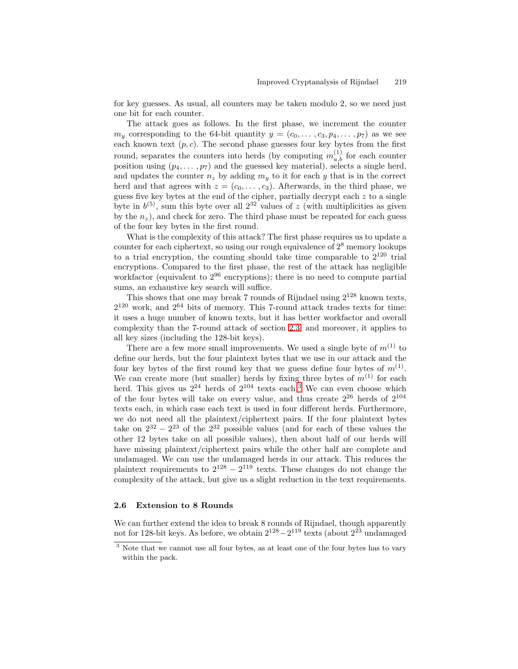for key guesses. As usual, all counters may be taken modulo 2, so we need just one bit for each counter.

The attack goes as follows. In the first phase, we increment the counter  $m_y$  corresponding to the 64-bit quantity  $y = (c_0, \ldots, c_3, p_4, \ldots, p_7)$  as we see each known text  $(p, c)$ . The second phase guesses four key bytes from the first round, separates the counters into herds (by computing  $m_{a,b}^{(1)}$  for each counter position using  $(p_4, \ldots, p_7)$  and the guessed key material), selects a single herd, and updates the counter  $n_z$  by adding  $m_y$  to it for each y that is in the correct herd and that agrees with  $z = (c_0, \ldots, c_3)$ . Afterwards, in the third phase, we guess five key bytes at the end of the cipher, partially decrypt each  $z$  to a single byte in  $b^{(5)}$ , sum this byte over all  $2^{32}$  values of z (with multiplicities as given by the  $n_z$ ), and check for zero. The third phase must be repeated for each guess of the four key bytes in the first round.

What is the complexity of this attack? The first phase requires us to update a counter for each ciphertext, so using our rough equivalence of  $2<sup>8</sup>$  memory lookups to a trial encryption, the counting should take time comparable to  $2^{120}$  trial encryptions. Compared to the first phase, the rest of the attack has negligible workfactor (equivalent to  $2^{96}$  encryptions); there is no need to compute partial sums, an exhaustive key search will suffice.

This shows that one may break 7 rounds of Rijndael using  $2^{128}$  known texts.  $2^{120}$  work, and  $2^{64}$  bits of memory. This 7-round attack trades texts for time: it uses a huge number of known texts, but it has better workfactor and overall complexity than the 7-round attack of section [2.3;](#page-2-0) and moreover, it applies to all key sizes (including the 128-bit keys).

There are a few more small improvements. We used a single byte of  $m^{(1)}$  to define our herds, but the four plaintext bytes that we use in our attack and the four key bytes of the first round key that we guess define four bytes of  $m^{(1)}$ . We can create more (but smaller) herds by fixing three bytes of  $m^{(1)}$  for each herd. This gives us  $2^{24}$  herds of  $2^{104}$  texts each.<sup>3</sup> We can even choose which of the four bytes will take on every value, and thus create  $2^{26}$  herds of  $2^{104}$ texts each, in which case each text is used in four different herds. Furthermore, we do not need all the plaintext/ciphertext pairs. If the four plaintext bytes take on  $2^{32} - 2^{23}$  of the  $2^{32}$  possible values (and for each of these values the other 12 bytes take on all possible values), then about half of our herds will have missing plaintext/ciphertext pairs while the other half are complete and undamaged. We can use the undamaged herds in our attack. This reduces the plaintext requirements to  $2^{128} - 2^{119}$  texts. These changes do not change the complexity of the attack, but give us a slight reduction in the text requirements.

### **2.6 Extension to 8 Rounds**

We can further extend the idea to break 8 rounds of Rijndael, though apparently not for 128-bit keys. As before, we obtain  $2^{128} - 2^{119}$  texts (about  $2^{23}$  undamaged

 $3$  Note that we cannot use all four bytes, as at least one of the four bytes has to vary within the pack.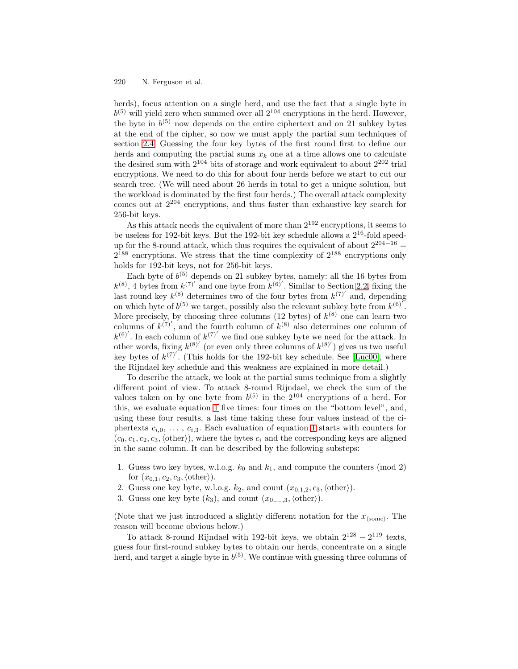herds), focus attention on a single herd, and use the fact that a single byte in  $b^{(5)}$  will yield zero when summed over all  $2^{104}$  encryptions in the herd. However, the byte in  $b^{(5)}$  now depends on the entire ciphertext and on 21 subkey bytes at the end of the cipher, so now we must apply the partial sum techniques of section [2.4.](#page-4-0) Guessing the four key bytes of the first round first to define our herds and computing the partial sums  $x_k$  one at a time allows one to calculate the desired sum with  $2^{104}$  bits of storage and work equivalent to about  $2^{202}$  trial encryptions. We need to do this for about four herds before we start to cut our search tree. (We will need about 26 herds in total to get a unique solution, but the workload is dominated by the first four herds.) The overall attack complexity comes out at 2<sup>204</sup> encryptions, and thus faster than exhaustive key search for 256-bit keys.

As this attack needs the equivalent of more than  $2^{192}$  encryptions, it seems to be useless for 192-bit keys. But the 192-bit key schedule allows a  $2^{16}$ -fold speedup for the 8-round attack, which thus requires the equivalent of about  $2^{204-16}$  =  $2^{188}$  encryptions. We stress that the time complexity of  $2^{188}$  encryptions only holds for 192-bit keys, not for 256-bit keys.

Each byte of  $b^{(5)}$  depends on 21 subkey bytes, namely: all the 16 bytes from  $k^{(8)}$ , 4 bytes from  $k^{(7)}$  and one byte from  $k^{(6)}$ . Similar to Section [2.2,](#page-2-0) fixing the last round key  $k^{(8)}$  determines two of the four bytes from  $k^{(7)}$  and, depending on which byte of  $b^{(5)}$  we target, possibly also the relevant subkey byte from  $k^{(6)}$ . More precisely, by choosing three columns (12 bytes) of  $k^{(8)}$  one can learn two columns of  $k^{(7)}$ , and the fourth column of  $k^{(8)}$  also determines one column of  $k^{(6)}$ . In each column of  $k^{(7)}$  we find one subkey byte we need for the attack. In other words, fixing  $k^{(8)'}$  (or even only three columns of  $k^{(8)'}$ ) gives us two useful key bytes of  $k^{(7)}$ . (This holds for the 192-bit key schedule. See [\[Luc00\]](#page-15-0), where the Rijndael key schedule and this weakness are explained in more detail.)

To describe the attack, we look at the partial sums technique from a slightly different point of view. To attack 8-round Rijndael, we check the sum of the values taken on by one byte from  $b^{(5)}$  in the  $2^{104}$  encryptions of a herd. For this, we evaluate equation [1](#page-3-0) five times: four times on the "bottom level", and, using these four results, a last time taking these four values instead of the ciphertexts  $c_{i,0}, \ldots, c_{i,3}$ . Each evaluation of equation [1](#page-3-0) starts with counters for  $(c_0, c_1, c_2, c_3, \text{(other)}),$  where the bytes  $c_i$  and the corresponding keys are aligned in the same column. It can be described by the following substeps:

- 1. Guess two key bytes, w.l.o.g.  $k_0$  and  $k_1$ , and compute the counters (mod 2) for  $(x_{0,1}, c_2, c_3, \langle \text{other} \rangle).$
- 2. Guess one key byte, w.l.o.g.  $k_2$ , and count  $(x_{0,1,2}, c_3, \text{other})$ .
- 3. Guess one key byte  $(k_3)$ , and count  $(x_{0,\ldots,3},\langle \text{other}\rangle)$ .

(Note that we just introduced a slightly different notation for the  $x_{\text{(some)}}$ . The reason will become obvious below.)

To attack 8-round Rijndael with 192-bit keys, we obtain  $2^{128} - 2^{119}$  texts, guess four first-round subkey bytes to obtain our herds, concentrate on a single herd, and target a single byte in  $b^{(5)}$ . We continue with guessing three columns of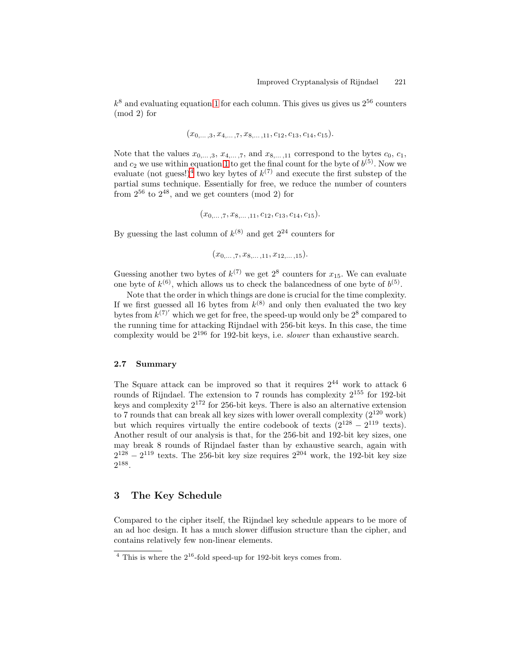<span id="page-8-0"></span> $k^8$  and evaluating equation [1](#page-3-0) for each column. This gives us gives us  $2^{56}$  counters (mod 2) for

$$
(x_{0,\ldots,3}, x_{4,\ldots,7}, x_{8,\ldots,11}, c_{12}, c_{13}, c_{14}, c_{15}).
$$

Note that the values  $x_{0,\ldots,3}$ ,  $x_{4,\ldots,7}$ , and  $x_{8,\ldots,11}$  correspond to the bytes  $c_0$ ,  $c_1$ , and  $c_2$  we use within equation [1](#page-3-0) to get the final count for the byte of  $b^{(5)}$ . Now we evaluate (not guess!)<sup>4</sup> two key bytes of  $k^{(7)}$  and execute the first substep of the partial sums technique. Essentially for free, we reduce the number of counters from  $2^{56}$  to  $2^{48}$ , and we get counters (mod 2) for

$$
(x_{0,\ldots,7}, x_{8,\ldots,11}, c_{12}, c_{13}, c_{14}, c_{15}).
$$

By guessing the last column of  $k^{(8)}$  and get  $2^{24}$  counters for

$$
(x_{0,\ldots,7}, x_{8,\ldots,11}, x_{12,\ldots,15}).
$$

Guessing another two bytes of  $k^{(7)}$  we get  $2^8$  counters for  $x_{15}$ . We can evaluate one byte of  $k^{(6)}$ , which allows us to check the balancedness of one byte of  $b^{(5)}$ .

Note that the order in which things are done is crucial for the time complexity. If we first guessed all 16 bytes from  $k^{(8)}$  and only then evaluated the two key bytes from  $k^{(7)}$  which we get for free, the speed-up would only be  $2^8$  compared to the running time for attacking Rijndael with 256-bit keys. In this case, the time complexity would be 2<sup>196</sup> for 192-bit keys, i.e. slower than exhaustive search.

### **2.7 Summary**

The Square attack can be improved so that it requires  $2^{44}$  work to attack 6 rounds of Rijndael. The extension to 7 rounds has complexity 2<sup>155</sup> for 192-bit keys and complexity  $2^{172}$  for 256-bit keys. There is also an alternative extension to 7 rounds that can break all key sizes with lower overall complexity  $(2^{120} \text{ work})$ but which requires virtually the entire codebook of texts  $(2^{128} – 2^{119}$  texts). Another result of our analysis is that, for the 256-bit and 192-bit key sizes, one may break 8 rounds of Rijndael faster than by exhaustive search, again with  $2^{128} - 2^{119}$  texts. The 256-bit key size requires  $2^{204}$  work, the 192-bit key size 2<sup>188</sup>.

# **3 The Key Schedule**

Compared to the cipher itself, the Rijndael key schedule appears to be more of an ad hoc design. It has a much slower diffusion structure than the cipher, and contains relatively few non-linear elements.

This is where the  $2^{16}$ -fold speed-up for 192-bit keys comes from.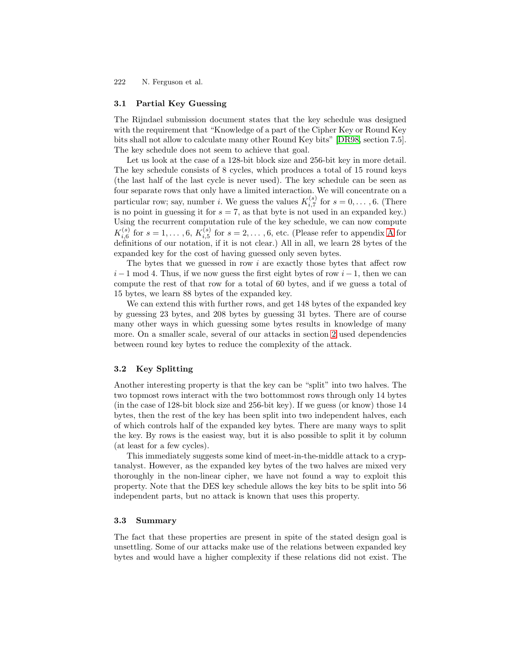## **3.1 Partial Key Guessing**

The Rijndael submission document states that the key schedule was designed with the requirement that "Knowledge of a part of the Cipher Key or Round Key bits shall not allow to calculate many other Round Key bits" [\[DR98,](#page-15-0) section 7.5]. The key schedule does not seem to achieve that goal.

Let us look at the case of a 128-bit block size and 256-bit key in more detail. The key schedule consists of 8 cycles, which produces a total of 15 round keys (the last half of the last cycle is never used). The key schedule can be seen as four separate rows that only have a limited interaction. We will concentrate on a particular row; say, number *i*. We guess the values  $K_{i,7}^{(s)}$  for  $s = 0, \ldots, 6$ . (There is no point in guessing it for  $s = 7$ , as that byte is not used in an expanded key.) Using the recurrent computation rule of the key schedule, we can now compute  $K_{i,6}^{(s)}$  for  $s = 1, \ldots, 6$ ,  $K_{i,5}^{(s)}$  for  $s = 2, \ldots, 6$ , etc. (Please refer to appendix [A](#page-15-0) for definitions of our notation, if it is not clear.) All in all, we learn 28 bytes of the expanded key for the cost of having guessed only seven bytes.

The bytes that we guessed in row  $i$  are exactly those bytes that affect row  $i-1$  mod 4. Thus, if we now guess the first eight bytes of row  $i-1$ , then we can compute the rest of that row for a total of 60 bytes, and if we guess a total of 15 bytes, we learn 88 bytes of the expanded key.

We can extend this with further rows, and get 148 bytes of the expanded key by guessing 23 bytes, and 208 bytes by guessing 31 bytes. There are of course many other ways in which guessing some bytes results in knowledge of many more. On a smaller scale, several of our attacks in section [2](#page-1-0) used dependencies between round key bytes to reduce the complexity of the attack.

## **3.2 Key Splitting**

Another interesting property is that the key can be "split" into two halves. The two topmost rows interact with the two bottommost rows through only 14 bytes (in the case of 128-bit block size and 256-bit key). If we guess (or know) those 14 bytes, then the rest of the key has been split into two independent halves, each of which controls half of the expanded key bytes. There are many ways to split the key. By rows is the easiest way, but it is also possible to split it by column (at least for a few cycles).

This immediately suggests some kind of meet-in-the-middle attack to a cryptanalyst. However, as the expanded key bytes of the two halves are mixed very thoroughly in the non-linear cipher, we have not found a way to exploit this property. Note that the DES key schedule allows the key bits to be split into 56 independent parts, but no attack is known that uses this property.

### **3.3 Summary**

The fact that these properties are present in spite of the stated design goal is unsettling. Some of our attacks make use of the relations between expanded key bytes and would have a higher complexity if these relations did not exist. The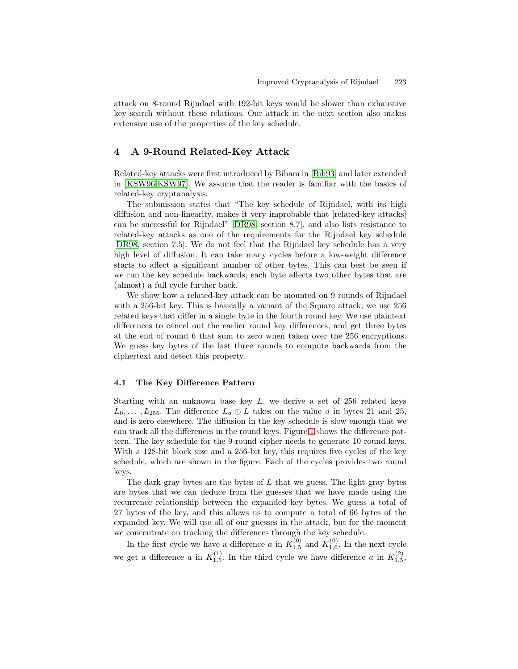<span id="page-10-0"></span>attack on 8-round Rijndael with 192-bit keys would be slower than exhaustive key search without these relations. Our attack in the next section also makes extensive use of the properties of the key schedule.

# **4 A 9-Round Related-Key Attack**

Related-key attacks were first introduced by Biham in [\[Bih93\]](#page-15-0) and later extended in [\[KSW96,KSW97\]](#page-15-0). We assume that the reader is familiar with the basics of related-key cryptanalysis.

The submission states that "The key schedule of Rijndael, with its high diffusion and non-linearity, makes it very improbable that [related-key attacks] can be successful for Rijndael" [\[DR98,](#page-15-0) section 8.7], and also lists resistance to related-key attacks as one of the requirements for the Rijndael key schedule [\[DR98,](#page-15-0) section 7.5]. We do not feel that the Rijndael key schedule has a very high level of diffusion. It can take many cycles before a low-weight difference starts to affect a significant number of other bytes. This can best be seen if we run the key schedule backwards; each byte affects two other bytes that are (almost) a full cycle further back.

We show how a related-key attack can be mounted on 9 rounds of Rijndael with a 256-bit key. This is basically a variant of the Square attack; we use 256 related keys that differ in a single byte in the fourth round key. We use plaintext differences to cancel out the earlier round key differences, and get three bytes at the end of round 6 that sum to zero when taken over the 256 encryptions. We guess key bytes of the last three rounds to compute backwards from the ciphertext and detect this property.

### **4.1 The Key Difference Pattern**

Starting with an unknown base key  $L$ , we derive a set of 256 related keys  $L_0,\ldots,L_{255}$ . The difference  $L_a\oplus L$  takes on the value a in bytes 21 and 25, and is zero elsewhere. The diffusion in the key schedule is slow enough that we can track all the differences in the round keys. Figure [1](#page-11-0) shows the difference pattern. The key schedule for the 9-round cipher needs to generate 10 round keys. With a 128-bit block size and a 256-bit key, this requires five cycles of the key schedule, which are shown in the figure. Each of the cycles provides two round keys.

The dark gray bytes are the bytes of  $L$  that we guess. The light gray bytes are bytes that we can deduce from the guesses that we have made using the recurrence relationship between the expanded key bytes. We guess a total of 27 bytes of the key, and this allows us to compute a total of 66 bytes of the expanded key. We will use all of our guesses in the attack, but for the moment we concentrate on tracking the differences through the key schedule.

In the first cycle we have a difference a in  $K_{1,5}^{(0)}$  and  $K_{1,6}^{(0)}$ . In the next cycle we get a difference a in  $K_{1,5}^{(1)}$ . In the third cycle we have difference a in  $K_{1,5}^{(2)}$ ,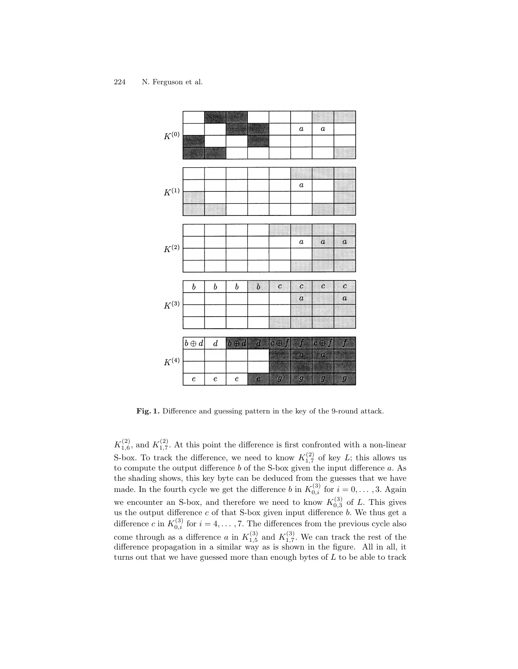<span id="page-11-0"></span>

Fig. 1. Difference and guessing pattern in the key of the 9-round attack.

 $K_{1,6}^{(2)}$ , and  $K_{1,7}^{(2)}$ . At this point the difference is first confronted with a non-linear S-box. To track the difference, we need to know  $K_{1,7}^{(2)}$  of key L; this allows us to compute the output difference  $b$  of the S-box given the input difference  $a$ . As the shading shows, this key byte can be deduced from the guesses that we have made. In the fourth cycle we get the difference b in  $K_{0,i}^{(3)}$  for  $i = 0, \ldots, 3$ . Again we encounter an S-box, and therefore we need to know  $K_{0,3}^{(3)}$  of L. This gives us the output difference  $c$  of that S-box given input difference  $b$ . We thus get a difference c in  $K_{0,i}^{(3)}$  for  $i = 4, \ldots, 7$ . The differences from the previous cycle also come through as a difference a in  $K_{1,5}^{(3)}$  and  $K_{1,7}^{(3)}$ . We can track the rest of the difference propagation in a similar way as is shown in the figure. All in all, it turns out that we have guessed more than enough bytes of L to be able to track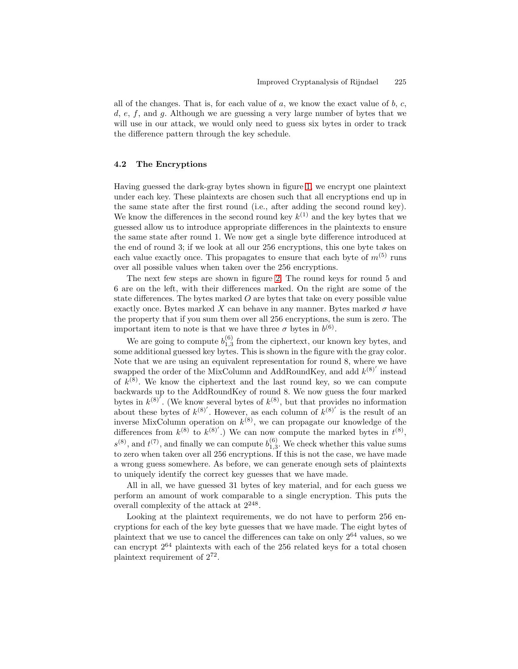all of the changes. That is, for each value of  $a$ , we know the exact value of  $b$ ,  $c$ ,  $d, e, f$ , and  $g$ . Although we are guessing a very large number of bytes that we will use in our attack, we would only need to guess six bytes in order to track the difference pattern through the key schedule.

#### **4.2 The Encryptions**

Having guessed the dark-gray bytes shown in figure [1,](#page-11-0) we encrypt one plaintext under each key. These plaintexts are chosen such that all encryptions end up in the same state after the first round (i.e., after adding the second round key). We know the differences in the second round key  $k^{(1)}$  and the key bytes that we guessed allow us to introduce appropriate differences in the plaintexts to ensure the same state after round 1. We now get a single byte difference introduced at the end of round 3; if we look at all our 256 encryptions, this one byte takes on each value exactly once. This propagates to ensure that each byte of  $m^{(5)}$  runs over all possible values when taken over the 256 encryptions.

The next few steps are shown in figure [2.](#page-13-0) The round keys for round 5 and 6 are on the left, with their differences marked. On the right are some of the state differences. The bytes marked O are bytes that take on every possible value exactly once. Bytes marked X can behave in any manner. Bytes marked  $\sigma$  have the property that if you sum them over all 256 encryptions, the sum is zero. The important item to note is that we have three  $\sigma$  bytes in  $b^{(6)}$ .

We are going to compute  $b_{1,3}^{(6)}$  from the ciphertext, our known key bytes, and some additional guessed key bytes. This is shown in the figure with the gray color. Note that we are using an equivalent representation for round 8, where we have swapped the order of the MixColumn and AddRoundKey, and add  $k^{(8)'}$  instead of  $k^{(8)}$ . We know the ciphertext and the last round key, so we can compute backwards up to the AddRoundKey of round 8. We now guess the four marked bytes in  $k^{(8)}$ . (We know several bytes of  $k^{(8)}$ , but that provides no information about these bytes of  $k^{(8)}$ . However, as each column of  $k^{(8)}$  is the result of an inverse MixColumn operation on  $k^{(8)}$ , we can propagate our knowledge of the differences from  $k^{(8)}$  to  $k^{(8)'}$ .) We can now compute the marked bytes in  $t^{(8)}$ ,  $s^{(8)}$ , and  $t^{(7)}$ , and finally we can compute  $b_{1,3}^{(6)}$ . We check whether this value sums to zero when taken over all 256 encryptions. If this is not the case, we have made a wrong guess somewhere. As before, we can generate enough sets of plaintexts to uniquely identify the correct key guesses that we have made.

All in all, we have guessed 31 bytes of key material, and for each guess we perform an amount of work comparable to a single encryption. This puts the overall complexity of the attack at 2<sup>248</sup>.

Looking at the plaintext requirements, we do not have to perform 256 encryptions for each of the key byte guesses that we have made. The eight bytes of plaintext that we use to cancel the differences can take on only  $2^{64}$  values, so we can encrypt  $2^{64}$  plaintexts with each of the 256 related keys for a total chosen plaintext requirement of 2<sup>72</sup>.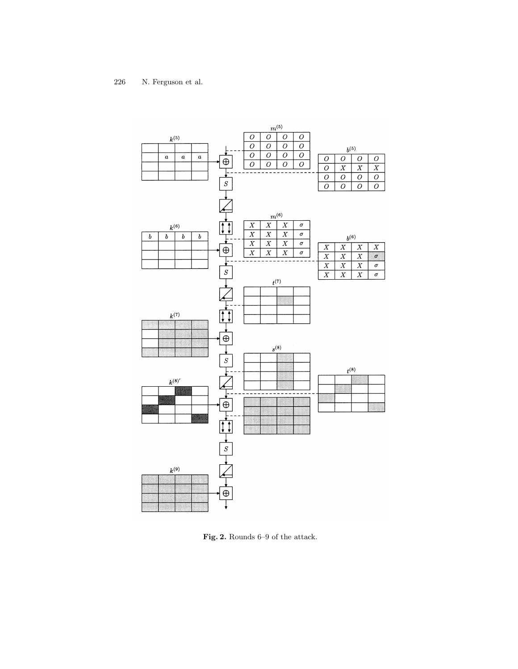<span id="page-13-0"></span>

**Fig. 2.** Rounds 6–9 of the attack.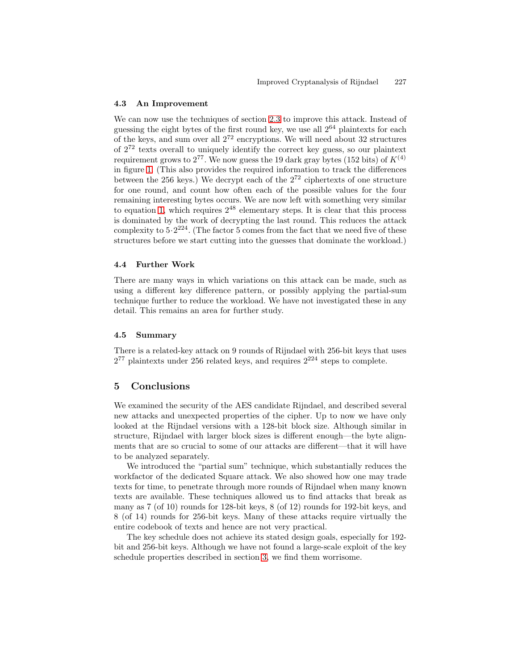## **4.3 An Improvement**

We can now use the techniques of section [2.3](#page-2-0) to improve this attack. Instead of guessing the eight bytes of the first round key, we use all  $2^{64}$  plaintexts for each of the keys, and sum over all  $2^{72}$  encryptions. We will need about 32 structures of  $2^{72}$  texts overall to uniquely identify the correct key guess, so our plaintext requirement grows to  $2^{77}$ . We now guess the 19 dark gray bytes (152 bits) of  $K^{(4)}$ in figure [1.](#page-11-0) (This also provides the required information to track the differences between the 256 keys.) We decrypt each of the  $2^{72}$  ciphertexts of one structure for one round, and count how often each of the possible values for the four remaining interesting bytes occurs. We are now left with something very similar to equation [1,](#page-3-0) which requires  $2^{48}$  elementary steps. It is clear that this process is dominated by the work of decrypting the last round. This reduces the attack complexity to  $5.2^{224}$ . (The factor 5 comes from the fact that we need five of these structures before we start cutting into the guesses that dominate the workload.)

## **4.4 Further Work**

There are many ways in which variations on this attack can be made, such as using a different key difference pattern, or possibly applying the partial-sum technique further to reduce the workload. We have not investigated these in any detail. This remains an area for further study.

### **4.5 Summary**

There is a related-key attack on 9 rounds of Rijndael with 256-bit keys that uses  $2^{77}$  plaintexts under 256 related keys, and requires  $2^{224}$  steps to complete.

# **5 Conclusions**

We examined the security of the AES candidate Rijndael, and described several new attacks and unexpected properties of the cipher. Up to now we have only looked at the Rijndael versions with a 128-bit block size. Although similar in structure, Rijndael with larger block sizes is different enough—the byte alignments that are so crucial to some of our attacks are different—that it will have to be analyzed separately.

We introduced the "partial sum" technique, which substantially reduces the workfactor of the dedicated Square attack. We also showed how one may trade texts for time, to penetrate through more rounds of Rijndael when many known texts are available. These techniques allowed us to find attacks that break as many as 7 (of 10) rounds for 128-bit keys, 8 (of 12) rounds for 192-bit keys, and 8 (of 14) rounds for 256-bit keys. Many of these attacks require virtually the entire codebook of texts and hence are not very practical.

The key schedule does not achieve its stated design goals, especially for 192 bit and 256-bit keys. Although we have not found a large-scale exploit of the key schedule properties described in section [3,](#page-8-0) we find them worrisome.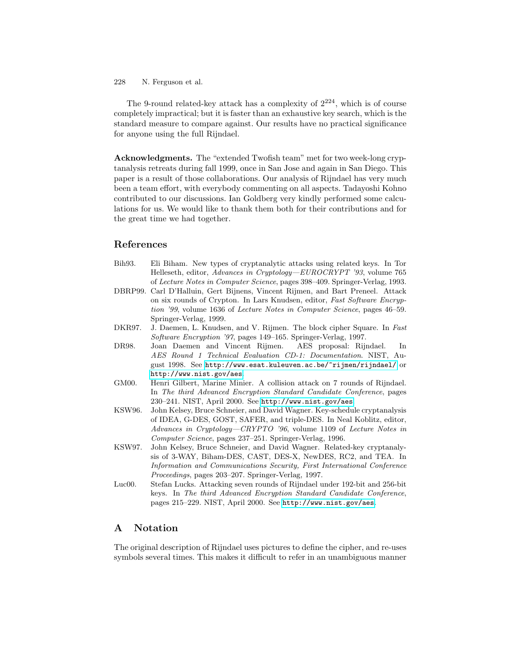<span id="page-15-0"></span>The 9-round related-key attack has a complexity of  $2^{224}$ , which is of course completely impractical; but it is faster than an exhaustive key search, which is the standard measure to compare against. Our results have no practical significance for anyone using the full Rijndael.

**Acknowledgments.** The "extended Twofish team" met for two week-long cryptanalysis retreats during fall 1999, once in San Jose and again in San Diego. This paper is a result of those collaborations. Our analysis of Rijndael has very much been a team effort, with everybody commenting on all aspects. Tadayoshi Kohno contributed to our discussions. Ian Goldberg very kindly performed some calculations for us. We would like to thank them both for their contributions and for the great time we had together.

# **References**

| Bih <sub>93</sub> . | Eli Biham. New types of cryptanalytic attacks using related keys. In Tor    |  |  |  |  |
|---------------------|-----------------------------------------------------------------------------|--|--|--|--|
|                     | Helleseth, editor, Advances in Cryptology-EUROCRYPT '93, volume 765         |  |  |  |  |
|                     | of Lecture Notes in Computer Science, pages 398–409. Springer-Verlag, 1993. |  |  |  |  |
| DBRP99.             | Carl D'Halluin, Gert Bijnens, Vincent Rijmen, and Bart Preneel. Attack      |  |  |  |  |
|                     | on six rounds of Crypton. In Lars Knudsen, editor, Fast Software Encryp-    |  |  |  |  |
|                     | tion '99, volume 1636 of Lecture Notes in Computer Science, pages 46–59.    |  |  |  |  |
|                     | Springer-Verlag, 1999.                                                      |  |  |  |  |
| DKR97.              | J. Daemen, L. Knudsen, and V. Rijmen. The block cipher Square. In Fast      |  |  |  |  |
|                     | Software Encryption '97, pages 149–165. Springer-Verlag, 1997.              |  |  |  |  |
| DR98.               | Joan Daemen and Vincent Rijmen. AES proposal: Rijndael.<br>In               |  |  |  |  |
|                     | AES Round 1 Technical Evaluation CD-1: Documentation. NIST, Au-             |  |  |  |  |
|                     | gust 1998. See http://www.esat.kuleuven.ac.be/~rijmen/rijndael/ or          |  |  |  |  |
|                     | http://www.nist.gov/aes.                                                    |  |  |  |  |
| GM00.               | Henri Gilbert, Marine Minier. A collision attack on 7 rounds of Rijndael.   |  |  |  |  |
|                     | In The third Advanced Encryption Standard Candidate Conference, pages       |  |  |  |  |
|                     | 230-241. NIST, April 2000. See http://www.nist.gov/aes.                     |  |  |  |  |
| KSW96.              | John Kelsey, Bruce Schneier, and David Wagner. Key-schedule cryptanalysis   |  |  |  |  |
|                     | of IDEA, G-DES, GOST, SAFER, and triple-DES. In Neal Koblitz, editor,       |  |  |  |  |
|                     | Advances in Cryptology—CRYPTO '96, volume 1109 of Lecture Notes in          |  |  |  |  |
|                     | Computer Science, pages 237–251. Springer-Verlag, 1996.                     |  |  |  |  |
| KSW97.              | John Kelsey, Bruce Schneier, and David Wagner. Related-key cryptanaly-      |  |  |  |  |
|                     | sis of 3-WAY, Biham-DES, CAST, DES-X, NewDES, RC2, and TEA. In              |  |  |  |  |
|                     | Information and Communications Security, First International Conference     |  |  |  |  |
|                     | Proceedings, pages 203-207. Springer-Verlag, 1997.                          |  |  |  |  |
| Luc00.              | Stefan Lucks. Attacking seven rounds of Rijndael under 192-bit and 256-bit  |  |  |  |  |
|                     | keys. In The third Advanced Encryption Standard Candidate Conference,       |  |  |  |  |
|                     | pages 215-229. NIST, April 2000. See http://www.nist.gov/aes.               |  |  |  |  |

# **A Notation**

The original description of Rijndael uses pictures to define the cipher, and re-uses symbols several times. This makes it difficult to refer in an unambiguous manner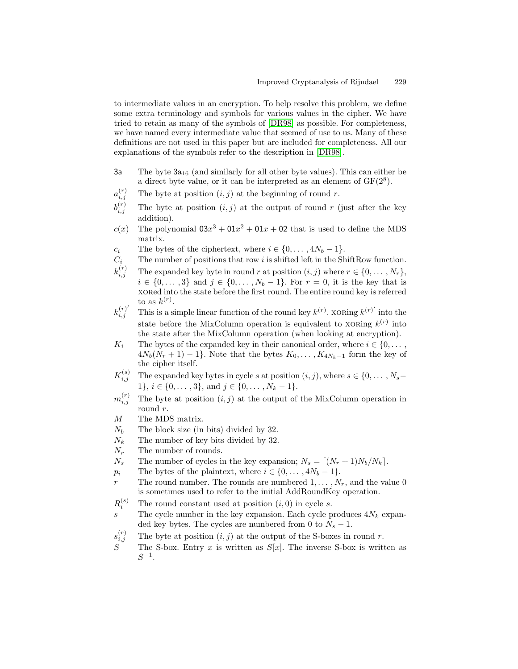to intermediate values in an encryption. To help resolve this problem, we define some extra terminology and symbols for various values in the cipher. We have tried to retain as many of the symbols of [\[DR98\]](#page-15-0) as possible. For completeness, we have named every intermediate value that seemed of use to us. Many of these definitions are not used in this paper but are included for completeness. All our explanations of the symbols refer to the description in [\[DR98\]](#page-15-0).

- 3a The byte  $3a_{16}$  (and similarly for all other byte values). This can either be a direct byte value, or it can be interpreted as an element of  $GF(2^8)$ .
- $a_{i,j}^{(r)}$ The byte at position  $(i, j)$  at the beginning of round r.
- $b_i^{(r)}$ The byte at position  $(i, j)$  at the output of round r (just after the key addition).
- $c(x)$  The polynomial  $03x^3 + 01x^2 + 01x + 02$  that is used to define the MDS matrix.
- c<sub>i</sub> The bytes of the ciphertext, where  $i \in \{0, \ldots, 4N_b 1\}.$
- $C_i$  The number of positions that row i is shifted left in the ShiftRow function.
- $k_{i,i}^{(r)}$ The expanded key byte in round r at position  $(i, j)$  where  $r \in \{0, \ldots, N_r\}$ ,  $i \in \{0, ..., 3\}$  and  $j \in \{0, ..., N_b - 1\}$ . For  $r = 0$ , it is the key that is xored into the state before the first round. The entire round key is referred to as  $k^{(r)}$ .
- $k_i^{(r)}$  $i,j$  This is a simple linear function of the round key  $k^{(r)}$ . XORing  $k^{(r)}$  into the state before the MixColumn operation is equivalent to xorting  $k^{(r)}$  into the state after the MixColumn operation (when looking at encryption).
- $K_i$  The bytes of the expanded key in their canonical order, where  $i \in \{0, \ldots,$  $4N_b(N_r + 1) - 1$ . Note that the bytes  $K_0, \ldots, K_{4N_k-1}$  form the key of the cipher itself.
- $K_{i,j}^{(s)}$ The expanded key bytes in cycle s at position  $(i, j)$ , where  $s \in \{0, \ldots, N_s-\}$ 1},  $i \in \{0, \ldots, 3\}$ , and  $j \in \{0, \ldots, N_k - 1\}$ .
- $m_i^{(r)}$ The byte at position  $(i, j)$  at the output of the MixColumn operation in round r.
- M The MDS matrix.
- $N_b$  The block size (in bits) divided by 32.
- $N_k$  The number of key bits divided by 32.
- $N_r$  The number of rounds.
- $N_s$  The number of cycles in the key expansion;  $N_s = [(N_r + 1)N_b/N_k].$
- $p_i$  The bytes of the plaintext, where  $i \in \{0, \ldots, 4N_b 1\}.$
- r The round number. The rounds are numbered  $1,\ldots,N_r$ , and the value 0 is sometimes used to refer to the initial AddRoundKey operation.
- $R_i^{(s)}$ The round constant used at position  $(i, 0)$  in cycle s.
- s The cycle number in the key expansion. Each cycle produces  $4N_k$  expanded key bytes. The cycles are numbered from 0 to  $N_s - 1$ .
- $s_i^{(r)}$ The byte at position  $(i, j)$  at the output of the S-boxes in round r.
- The S-box. Entry x is written as  $S[x]$ . The inverse S-box is written as  $S^{-1}$ .